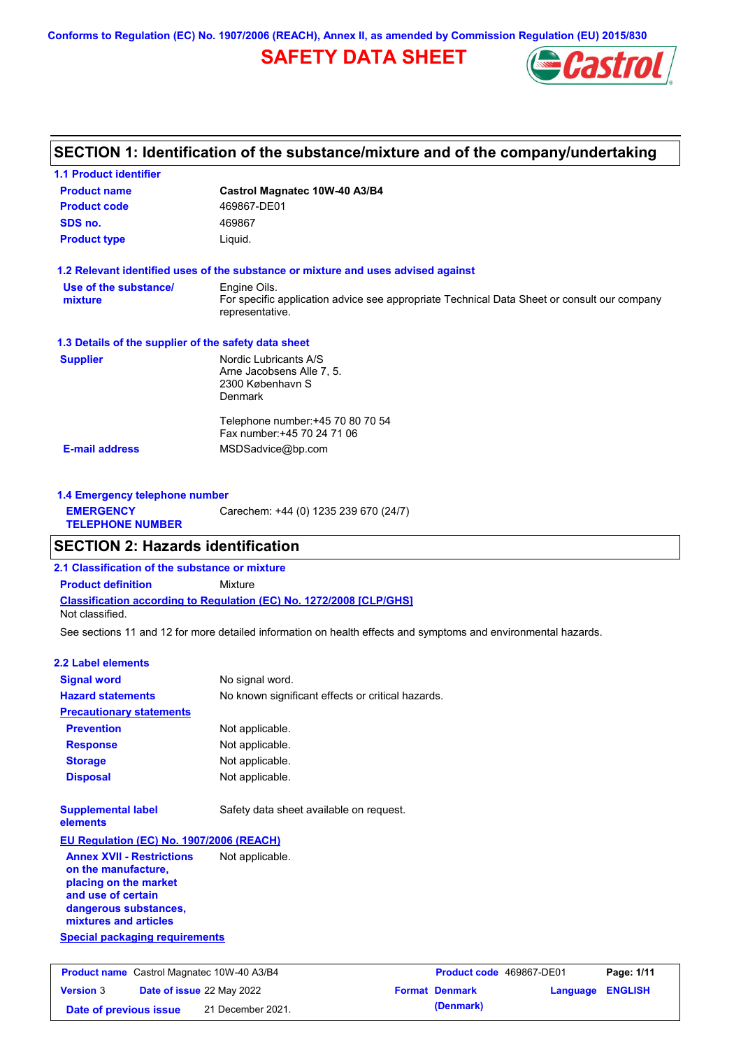# **SAFETY DATA SHEET**



## **SECTION 1: Identification of the substance/mixture and of the company/undertaking**

| <b>1.1 Product identifier</b>                        |                                                                                                                                |
|------------------------------------------------------|--------------------------------------------------------------------------------------------------------------------------------|
| <b>Product name</b>                                  | Castrol Magnatec 10W-40 A3/B4                                                                                                  |
| <b>Product code</b>                                  | 469867-DE01                                                                                                                    |
| SDS no.                                              | 469867                                                                                                                         |
| <b>Product type</b>                                  | Liquid.                                                                                                                        |
|                                                      | 1.2 Relevant identified uses of the substance or mixture and uses advised against                                              |
| Use of the substance/<br>mixture                     | Engine Oils.<br>For specific application advice see appropriate Technical Data Sheet or consult our company<br>representative. |
| 1.3 Details of the supplier of the safety data sheet |                                                                                                                                |
| <b>Supplier</b>                                      | Nordic Lubricants A/S<br>Arne Jacobsens Alle 7, 5.<br>2300 København S<br><b>Denmark</b>                                       |
| <b>E-mail address</b>                                | Telephone number: +45 70 80 70 54<br>Fax number: +45 70 24 71 06<br>MSDSadvice@bp.com                                          |
|                                                      |                                                                                                                                |

| 1.4 Emergency telephone number              |                                       |  |
|---------------------------------------------|---------------------------------------|--|
| <b>EMERGENCY</b><br><b>TELEPHONE NUMBER</b> | Carechem: +44 (0) 1235 239 670 (24/7) |  |

## **SECTION 2: Hazards identification**

**Date of previous issue** 21 December 2021.

**2.1 Classification of the substance or mixture**

**Classification according to Regulation (EC) No. 1272/2008 [CLP/GHS] Product definition** Mixture Not classified.

See sections 11 and 12 for more detailed information on health effects and symptoms and environmental hazards.

### **2.2 Label elements**

| <b>Signal word</b>                                                                                                                                       | No signal word.                                   |                          |          |                |  |
|----------------------------------------------------------------------------------------------------------------------------------------------------------|---------------------------------------------------|--------------------------|----------|----------------|--|
| <b>Hazard statements</b>                                                                                                                                 | No known significant effects or critical hazards. |                          |          |                |  |
| <b>Precautionary statements</b>                                                                                                                          |                                                   |                          |          |                |  |
| <b>Prevention</b>                                                                                                                                        | Not applicable.                                   |                          |          |                |  |
| <b>Response</b>                                                                                                                                          | Not applicable.                                   |                          |          |                |  |
| <b>Storage</b>                                                                                                                                           | Not applicable.                                   |                          |          |                |  |
| <b>Disposal</b>                                                                                                                                          | Not applicable.                                   |                          |          |                |  |
| <b>Supplemental label</b><br>elements                                                                                                                    | Safety data sheet available on request.           |                          |          |                |  |
| <b>EU Regulation (EC) No. 1907/2006 (REACH)</b>                                                                                                          |                                                   |                          |          |                |  |
| <b>Annex XVII - Restrictions</b><br>on the manufacture,<br>placing on the market<br>and use of certain<br>dangerous substances,<br>mixtures and articles | Not applicable.                                   |                          |          |                |  |
| <b>Special packaging requirements</b>                                                                                                                    |                                                   |                          |          |                |  |
| <b>Product name</b> Castrol Magnatec 10W-40 A3/B4                                                                                                        |                                                   | Product code 469867-DE01 |          | Page: 1/11     |  |
| <b>Version 3</b><br>Date of issue 22 May 2022                                                                                                            |                                                   | <b>Format Denmark</b>    | Language | <b>ENGLISH</b> |  |

| Product code 469867-DE01 |                  | Page: 1/11 |  |
|--------------------------|------------------|------------|--|
| <b>Format Denmark</b>    | Language ENGLISH |            |  |
| (Denmark)                |                  |            |  |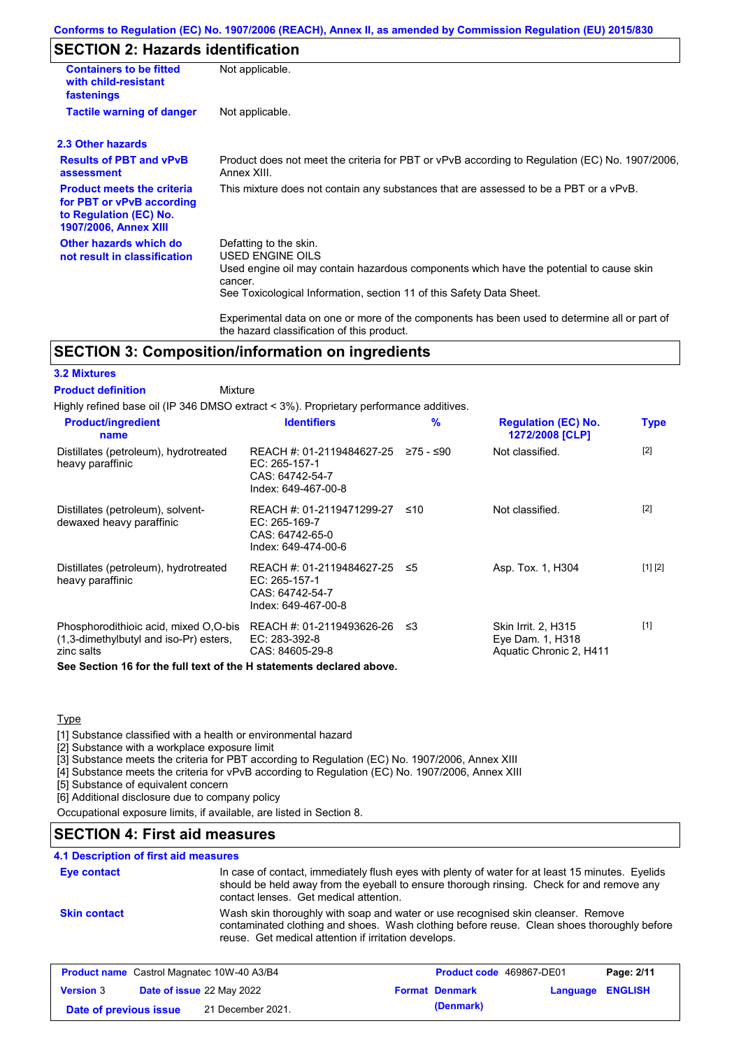## **SECTION 2: Hazards identification**

| <b>Containers to be fitted</b><br>with child-resistant<br>fastenings                                                     | Not applicable.<br>Not applicable.                                                                                                                                                                                              |  |  |
|--------------------------------------------------------------------------------------------------------------------------|---------------------------------------------------------------------------------------------------------------------------------------------------------------------------------------------------------------------------------|--|--|
| <b>Tactile warning of danger</b>                                                                                         |                                                                                                                                                                                                                                 |  |  |
| 2.3 Other hazards                                                                                                        |                                                                                                                                                                                                                                 |  |  |
| <b>Results of PBT and vPvB</b><br>assessment                                                                             | Product does not meet the criteria for PBT or vPvB according to Regulation (EC) No. 1907/2006,<br>Annex XIII.                                                                                                                   |  |  |
| <b>Product meets the criteria</b><br>for PBT or vPvB according<br>to Regulation (EC) No.<br><b>1907/2006, Annex XIII</b> | This mixture does not contain any substances that are assessed to be a PBT or a vPvB.                                                                                                                                           |  |  |
| Other hazards which do<br>not result in classification                                                                   | Defatting to the skin.<br><b>USED ENGINE OILS</b><br>Used engine oil may contain hazardous components which have the potential to cause skin<br>cancer.<br>See Toxicological Information, section 11 of this Safety Data Sheet. |  |  |
|                                                                                                                          | Experimental data on one or more of the components has been used to determine all or part of<br>the hazard classification of this product.                                                                                      |  |  |

## **SECTION 3: Composition/information on ingredients**

### **3.2 Mixtures**

Mixture **Product definition**

Highly refined base oil (IP 346 DMSO extract < 3%). Proprietary performance additives.

| $[2]$<br>Not classified.<br>≥75 - ≤90                        |                         |
|--------------------------------------------------------------|-------------------------|
|                                                              |                         |
| $[2]$<br>Not classified.<br>≤10                              |                         |
| [1] [2]<br>REACH #: 01-2119484627-25 ≤5<br>Asp. Tox. 1, H304 |                         |
| $[1]$<br>Skin Irrit. 2, H315<br>ב≥<br>Eye Dam. 1, H318       |                         |
|                                                              | Aquatic Chronic 2, H411 |

**See Section 16 for the full text of the H statements declared above.**

#### Type

[1] Substance classified with a health or environmental hazard

[2] Substance with a workplace exposure limit

[3] Substance meets the criteria for PBT according to Regulation (EC) No. 1907/2006, Annex XIII

[4] Substance meets the criteria for vPvB according to Regulation (EC) No. 1907/2006, Annex XIII

[5] Substance of equivalent concern

[6] Additional disclosure due to company policy

Occupational exposure limits, if available, are listed in Section 8.

### **SECTION 4: First aid measures**

### **4.1 Description of first aid measures**

| Eye contact         | In case of contact, immediately flush eyes with plenty of water for at least 15 minutes. Eyelids<br>should be held away from the eyeball to ensure thorough rinsing. Check for and remove any<br>contact lenses. Get medical attention. |
|---------------------|-----------------------------------------------------------------------------------------------------------------------------------------------------------------------------------------------------------------------------------------|
| <b>Skin contact</b> | Wash skin thoroughly with soap and water or use recognised skin cleanser. Remove<br>contaminated clothing and shoes. Wash clothing before reuse. Clean shoes thoroughly before<br>reuse. Get medical attention if irritation develops.  |

|                        | <b>Product name</b> Castrol Magnatec 10W-40 A3/B4 | <b>Product code</b> 469867-DE01 |                         | Page: 2/11 |
|------------------------|---------------------------------------------------|---------------------------------|-------------------------|------------|
| <b>Version 3</b>       | <b>Date of issue 22 May 2022</b>                  | <b>Format Denmark</b>           | <b>Language ENGLISH</b> |            |
| Date of previous issue | 21 December 2021.                                 | (Denmark)                       |                         |            |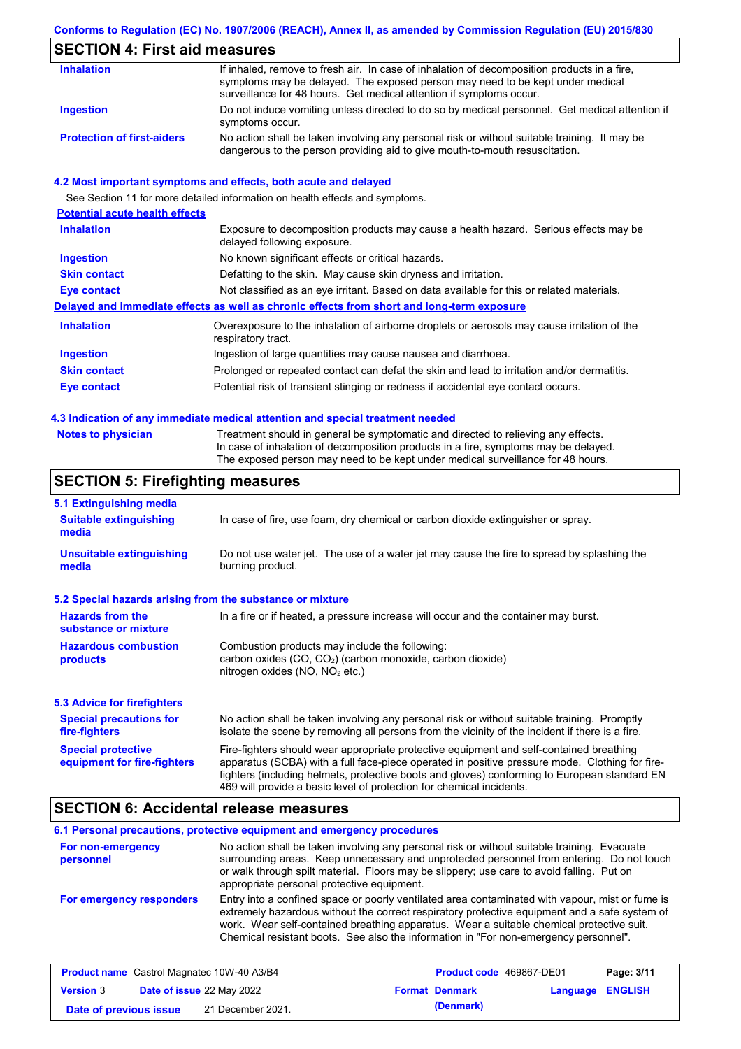# **SECTION 4: First aid measures**

| <b>Inhalation</b>                 | If inhaled, remove to fresh air. In case of inhalation of decomposition products in a fire,<br>symptoms may be delayed. The exposed person may need to be kept under medical<br>surveillance for 48 hours. Get medical attention if symptoms occur. |
|-----------------------------------|-----------------------------------------------------------------------------------------------------------------------------------------------------------------------------------------------------------------------------------------------------|
| Ingestion                         | Do not induce vomiting unless directed to do so by medical personnel. Get medical attention if<br>symptoms occur.                                                                                                                                   |
| <b>Protection of first-aiders</b> | No action shall be taken involving any personal risk or without suitable training. It may be<br>dangerous to the person providing aid to give mouth-to-mouth resuscitation.                                                                         |

### **4.2 Most important symptoms and effects, both acute and delayed**

See Section 11 for more detailed information on health effects and symptoms.

| <b>Potential acute health effects</b> |                                                                                                                     |
|---------------------------------------|---------------------------------------------------------------------------------------------------------------------|
| <b>Inhalation</b>                     | Exposure to decomposition products may cause a health hazard. Serious effects may be<br>delayed following exposure. |
| <b>Ingestion</b>                      | No known significant effects or critical hazards.                                                                   |
| <b>Skin contact</b>                   | Defatting to the skin. May cause skin dryness and irritation.                                                       |
| <b>Eye contact</b>                    | Not classified as an eye irritant. Based on data available for this or related materials.                           |
|                                       | Delayed and immediate effects as well as chronic effects from short and long-term exposure                          |
| <b>Inhalation</b>                     | Overexposure to the inhalation of airborne droplets or aerosols may cause irritation of the<br>respiratory tract.   |
| <b>Ingestion</b>                      | Ingestion of large quantities may cause nausea and diarrhoea.                                                       |
| <b>Skin contact</b>                   | Prolonged or repeated contact can defat the skin and lead to irritation and/or dermatitis.                          |
| <b>Eye contact</b>                    | Potential risk of transient stinging or redness if accidental eye contact occurs.                                   |

### **4.3 Indication of any immediate medical attention and special treatment needed**

| <b>Notes to physician</b> | Treatment should in general be symptomatic and directed to relieving any effects.   |
|---------------------------|-------------------------------------------------------------------------------------|
|                           | In case of inhalation of decomposition products in a fire, symptoms may be delayed. |
|                           | The exposed person may need to be kept under medical surveillance for 48 hours.     |

# **SECTION 5: Firefighting measures**

| 5.1 Extinguishing media                                                                                                                                                                                           |                                                                                                                                                                                                                                                                                                                                                                   |  |
|-------------------------------------------------------------------------------------------------------------------------------------------------------------------------------------------------------------------|-------------------------------------------------------------------------------------------------------------------------------------------------------------------------------------------------------------------------------------------------------------------------------------------------------------------------------------------------------------------|--|
| <b>Suitable extinguishing</b><br>media                                                                                                                                                                            | In case of fire, use foam, dry chemical or carbon dioxide extinguisher or spray.                                                                                                                                                                                                                                                                                  |  |
| <b>Unsuitable extinguishing</b><br>media                                                                                                                                                                          | Do not use water jet. The use of a water jet may cause the fire to spread by splashing the<br>burning product.                                                                                                                                                                                                                                                    |  |
| 5.2 Special hazards arising from the substance or mixture                                                                                                                                                         |                                                                                                                                                                                                                                                                                                                                                                   |  |
| <b>Hazards from the</b><br>substance or mixture                                                                                                                                                                   | In a fire or if heated, a pressure increase will occur and the container may burst.                                                                                                                                                                                                                                                                               |  |
| Combustion products may include the following:<br><b>Hazardous combustion</b><br>carbon oxides (CO, CO <sub>2</sub> ) (carbon monoxide, carbon dioxide)<br>products<br>nitrogen oxides (NO, NO <sub>2</sub> etc.) |                                                                                                                                                                                                                                                                                                                                                                   |  |
| 5.3 Advice for firefighters                                                                                                                                                                                       |                                                                                                                                                                                                                                                                                                                                                                   |  |
| <b>Special precautions for</b><br>fire-fighters                                                                                                                                                                   | No action shall be taken involving any personal risk or without suitable training. Promptly<br>isolate the scene by removing all persons from the vicinity of the incident if there is a fire.                                                                                                                                                                    |  |
| <b>Special protective</b><br>equipment for fire-fighters                                                                                                                                                          | Fire-fighters should wear appropriate protective equipment and self-contained breathing<br>apparatus (SCBA) with a full face-piece operated in positive pressure mode. Clothing for fire-<br>fighters (including helmets, protective boots and gloves) conforming to European standard EN<br>469 will provide a basic level of protection for chemical incidents. |  |

## **SECTION 6: Accidental release measures**

|                                | 6.1 Personal precautions, protective equipment and emergency procedures                                                                                                                                                                                                                                                                                                              |
|--------------------------------|--------------------------------------------------------------------------------------------------------------------------------------------------------------------------------------------------------------------------------------------------------------------------------------------------------------------------------------------------------------------------------------|
| For non-emergency<br>personnel | No action shall be taken involving any personal risk or without suitable training. Evacuate<br>surrounding areas. Keep unnecessary and unprotected personnel from entering. Do not touch<br>or walk through spilt material. Floors may be slippery; use care to avoid falling. Put on<br>appropriate personal protective equipment.                                                  |
| For emergency responders       | Entry into a confined space or poorly ventilated area contaminated with vapour, mist or fume is<br>extremely hazardous without the correct respiratory protective equipment and a safe system of<br>work. Wear self-contained breathing apparatus. Wear a suitable chemical protective suit.<br>Chemical resistant boots. See also the information in "For non-emergency personnel". |

|                        | <b>Product name</b> Castrol Magnatec 10W-40 A3/B4 | Product code 469867-DE01 |                         | Page: 3/11 |
|------------------------|---------------------------------------------------|--------------------------|-------------------------|------------|
| <b>Version 3</b>       | <b>Date of issue</b> 22 May 2022                  | <b>Format Denmark</b>    | <b>Language ENGLISH</b> |            |
| Date of previous issue | 21 December 2021.                                 | (Denmark)                |                         |            |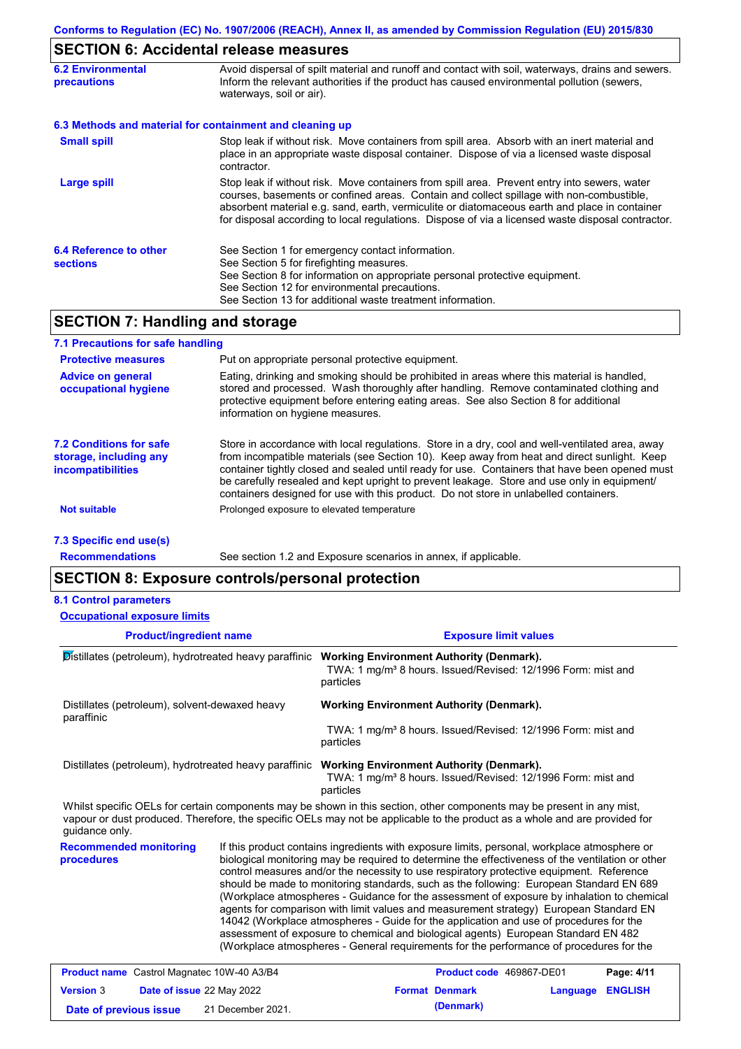# **SECTION 6: Accidental release measures**

| <b>6.2 Environmental</b><br><b>precautions</b>           | Avoid dispersal of spilt material and runoff and contact with soil, waterways, drains and sewers.<br>Inform the relevant authorities if the product has caused environmental pollution (sewers,<br>waterways, soil or air).                                                                                                                                                                    |  |  |  |  |
|----------------------------------------------------------|------------------------------------------------------------------------------------------------------------------------------------------------------------------------------------------------------------------------------------------------------------------------------------------------------------------------------------------------------------------------------------------------|--|--|--|--|
| 6.3 Methods and material for containment and cleaning up |                                                                                                                                                                                                                                                                                                                                                                                                |  |  |  |  |
| <b>Small spill</b>                                       | Stop leak if without risk. Move containers from spill area. Absorb with an inert material and<br>place in an appropriate waste disposal container. Dispose of via a licensed waste disposal<br>contractor.                                                                                                                                                                                     |  |  |  |  |
| <b>Large spill</b>                                       | Stop leak if without risk. Move containers from spill area. Prevent entry into sewers, water<br>courses, basements or confined areas. Contain and collect spillage with non-combustible,<br>absorbent material e.g. sand, earth, vermiculite or diatomaceous earth and place in container<br>for disposal according to local regulations. Dispose of via a licensed waste disposal contractor. |  |  |  |  |
| 6.4 Reference to other<br><b>sections</b>                | See Section 1 for emergency contact information.<br>See Section 5 for firefighting measures.<br>See Section 8 for information on appropriate personal protective equipment.<br>See Section 12 for environmental precautions.<br>See Section 13 for additional waste treatment information.                                                                                                     |  |  |  |  |

## **SECTION 7: Handling and storage**

| 7.1 Precautions for safe handling                                                    |                                                                                                                                                                                                                                                                                                                                                                                                                                                                                          |
|--------------------------------------------------------------------------------------|------------------------------------------------------------------------------------------------------------------------------------------------------------------------------------------------------------------------------------------------------------------------------------------------------------------------------------------------------------------------------------------------------------------------------------------------------------------------------------------|
| <b>Protective measures</b>                                                           | Put on appropriate personal protective equipment.                                                                                                                                                                                                                                                                                                                                                                                                                                        |
| <b>Advice on general</b><br>occupational hygiene                                     | Eating, drinking and smoking should be prohibited in areas where this material is handled,<br>stored and processed. Wash thoroughly after handling. Remove contaminated clothing and<br>protective equipment before entering eating areas. See also Section 8 for additional<br>information on hygiene measures.                                                                                                                                                                         |
| <b>7.2 Conditions for safe</b><br>storage, including any<br><i>incompatibilities</i> | Store in accordance with local regulations. Store in a dry, cool and well-ventilated area, away<br>from incompatible materials (see Section 10). Keep away from heat and direct sunlight. Keep<br>container tightly closed and sealed until ready for use. Containers that have been opened must<br>be carefully resealed and kept upright to prevent leakage. Store and use only in equipment/<br>containers designed for use with this product. Do not store in unlabelled containers. |
| <b>Not suitable</b>                                                                  | Prolonged exposure to elevated temperature                                                                                                                                                                                                                                                                                                                                                                                                                                               |
| 7.3 Specific end use(s)                                                              |                                                                                                                                                                                                                                                                                                                                                                                                                                                                                          |

**Recommendations**

See section 1.2 and Exposure scenarios in annex, if applicable.

## **SECTION 8: Exposure controls/personal protection**

#### **8.1 Control parameters**

**Occupational exposure limits**

| <b>Product/ingredient name</b>                                                                                                                                                                                                                                         |                   |                                                                                                                                                                                                                                                                                                                                                                                                                                                                                                                                                                                                                                                                                                                                                                                                                                                            | <b>Exposure limit values</b> |          |                |
|------------------------------------------------------------------------------------------------------------------------------------------------------------------------------------------------------------------------------------------------------------------------|-------------------|------------------------------------------------------------------------------------------------------------------------------------------------------------------------------------------------------------------------------------------------------------------------------------------------------------------------------------------------------------------------------------------------------------------------------------------------------------------------------------------------------------------------------------------------------------------------------------------------------------------------------------------------------------------------------------------------------------------------------------------------------------------------------------------------------------------------------------------------------------|------------------------------|----------|----------------|
| Distillates (petroleum), hydrotreated heavy paraffinic                                                                                                                                                                                                                 |                   | <b>Working Environment Authority (Denmark).</b><br>TWA: 1 mg/m <sup>3</sup> 8 hours. Issued/Revised: 12/1996 Form: mist and<br>particles                                                                                                                                                                                                                                                                                                                                                                                                                                                                                                                                                                                                                                                                                                                   |                              |          |                |
| Distillates (petroleum), solvent-dewaxed heavy<br>paraffinic                                                                                                                                                                                                           |                   | <b>Working Environment Authority (Denmark).</b>                                                                                                                                                                                                                                                                                                                                                                                                                                                                                                                                                                                                                                                                                                                                                                                                            |                              |          |                |
|                                                                                                                                                                                                                                                                        |                   | TWA: 1 mg/m <sup>3</sup> 8 hours. Issued/Revised: 12/1996 Form: mist and<br>particles                                                                                                                                                                                                                                                                                                                                                                                                                                                                                                                                                                                                                                                                                                                                                                      |                              |          |                |
| Distillates (petroleum), hydrotreated heavy paraffinic Working Environment Authority (Denmark).                                                                                                                                                                        |                   | TWA: 1 mg/m <sup>3</sup> 8 hours. Issued/Revised: 12/1996 Form: mist and<br>particles                                                                                                                                                                                                                                                                                                                                                                                                                                                                                                                                                                                                                                                                                                                                                                      |                              |          |                |
| Whilst specific OELs for certain components may be shown in this section, other components may be present in any mist,<br>vapour or dust produced. Therefore, the specific OELs may not be applicable to the product as a whole and are provided for<br>quidance only. |                   |                                                                                                                                                                                                                                                                                                                                                                                                                                                                                                                                                                                                                                                                                                                                                                                                                                                            |                              |          |                |
| <b>Recommended monitoring</b><br>procedures                                                                                                                                                                                                                            |                   | If this product contains ingredients with exposure limits, personal, workplace atmosphere or<br>biological monitoring may be required to determine the effectiveness of the ventilation or other<br>control measures and/or the necessity to use respiratory protective equipment. Reference<br>should be made to monitoring standards, such as the following: European Standard EN 689<br>(Workplace atmospheres - Guidance for the assessment of exposure by inhalation to chemical<br>agents for comparison with limit values and measurement strategy) European Standard EN<br>14042 (Workplace atmospheres - Guide for the application and use of procedures for the<br>assessment of exposure to chemical and biological agents) European Standard EN 482<br>(Workplace atmospheres - General requirements for the performance of procedures for the |                              |          |                |
| <b>Product name</b> Castrol Magnatec 10W-40 A3/B4                                                                                                                                                                                                                      |                   |                                                                                                                                                                                                                                                                                                                                                                                                                                                                                                                                                                                                                                                                                                                                                                                                                                                            | Product code 469867-DE01     |          | Page: 4/11     |
| <b>Version 3</b><br>Date of issue 22 May 2022                                                                                                                                                                                                                          |                   |                                                                                                                                                                                                                                                                                                                                                                                                                                                                                                                                                                                                                                                                                                                                                                                                                                                            | <b>Format Denmark</b>        | Language | <b>ENGLISH</b> |
| Date of previous issue                                                                                                                                                                                                                                                 | 21 December 2021. |                                                                                                                                                                                                                                                                                                                                                                                                                                                                                                                                                                                                                                                                                                                                                                                                                                                            | (Denmark)                    |          |                |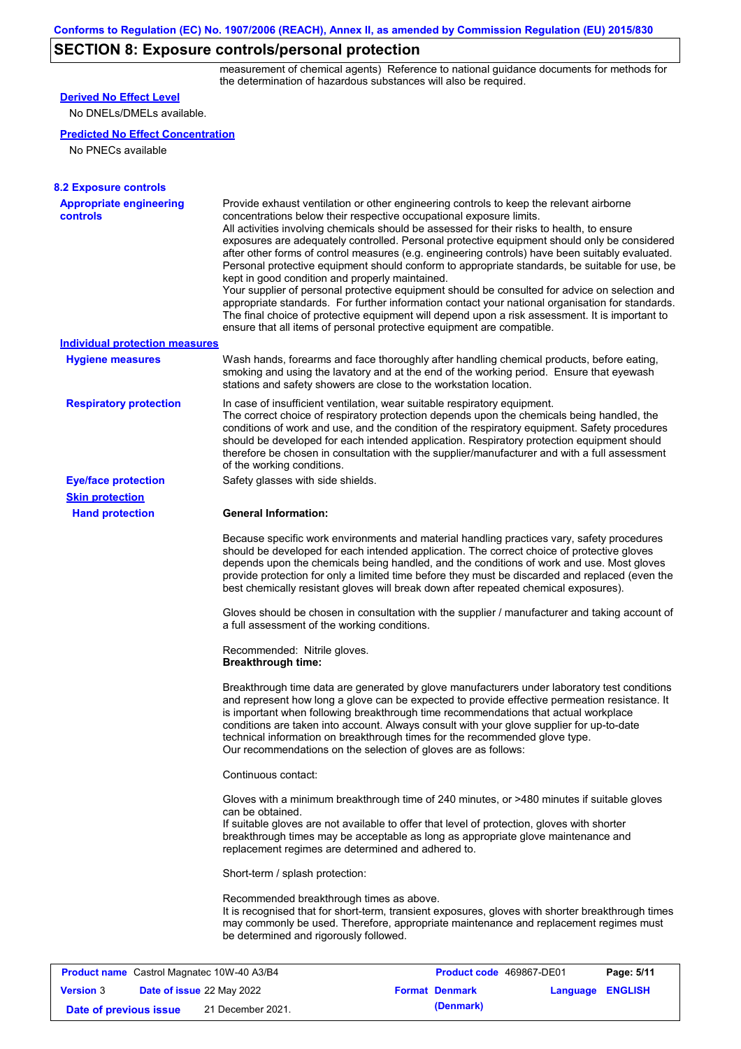# **SECTION 8: Exposure controls/personal protection**

measurement of chemical agents) Reference to national guidance documents for methods for the determination of hazardous substances will also be required.

| <b>Derived No Effect Level</b><br>No DNELs/DMELs available.                                        |                                                                                                                                                                                                                                                                                                                                                                                                                                                                                                                                                                                                                                                                                                                                                                                                                                                                                                                               |                                                   |                  |            |
|----------------------------------------------------------------------------------------------------|-------------------------------------------------------------------------------------------------------------------------------------------------------------------------------------------------------------------------------------------------------------------------------------------------------------------------------------------------------------------------------------------------------------------------------------------------------------------------------------------------------------------------------------------------------------------------------------------------------------------------------------------------------------------------------------------------------------------------------------------------------------------------------------------------------------------------------------------------------------------------------------------------------------------------------|---------------------------------------------------|------------------|------------|
|                                                                                                    |                                                                                                                                                                                                                                                                                                                                                                                                                                                                                                                                                                                                                                                                                                                                                                                                                                                                                                                               |                                                   |                  |            |
| <b>Predicted No Effect Concentration</b>                                                           |                                                                                                                                                                                                                                                                                                                                                                                                                                                                                                                                                                                                                                                                                                                                                                                                                                                                                                                               |                                                   |                  |            |
| No PNECs available                                                                                 |                                                                                                                                                                                                                                                                                                                                                                                                                                                                                                                                                                                                                                                                                                                                                                                                                                                                                                                               |                                                   |                  |            |
| <b>8.2 Exposure controls</b>                                                                       |                                                                                                                                                                                                                                                                                                                                                                                                                                                                                                                                                                                                                                                                                                                                                                                                                                                                                                                               |                                                   |                  |            |
| <b>Appropriate engineering</b><br><b>controls</b>                                                  | Provide exhaust ventilation or other engineering controls to keep the relevant airborne<br>concentrations below their respective occupational exposure limits.<br>All activities involving chemicals should be assessed for their risks to health, to ensure<br>exposures are adequately controlled. Personal protective equipment should only be considered<br>after other forms of control measures (e.g. engineering controls) have been suitably evaluated.<br>Personal protective equipment should conform to appropriate standards, be suitable for use, be<br>kept in good condition and properly maintained.<br>Your supplier of personal protective equipment should be consulted for advice on selection and<br>appropriate standards. For further information contact your national organisation for standards.<br>The final choice of protective equipment will depend upon a risk assessment. It is important to |                                                   |                  |            |
| <b>Individual protection measures</b>                                                              | ensure that all items of personal protective equipment are compatible.                                                                                                                                                                                                                                                                                                                                                                                                                                                                                                                                                                                                                                                                                                                                                                                                                                                        |                                                   |                  |            |
| <b>Hygiene measures</b>                                                                            | Wash hands, forearms and face thoroughly after handling chemical products, before eating,<br>smoking and using the lavatory and at the end of the working period. Ensure that eyewash<br>stations and safety showers are close to the workstation location.                                                                                                                                                                                                                                                                                                                                                                                                                                                                                                                                                                                                                                                                   |                                                   |                  |            |
| <b>Respiratory protection</b>                                                                      | In case of insufficient ventilation, wear suitable respiratory equipment.<br>The correct choice of respiratory protection depends upon the chemicals being handled, the<br>conditions of work and use, and the condition of the respiratory equipment. Safety procedures<br>should be developed for each intended application. Respiratory protection equipment should<br>therefore be chosen in consultation with the supplier/manufacturer and with a full assessment<br>of the working conditions.                                                                                                                                                                                                                                                                                                                                                                                                                         |                                                   |                  |            |
| <b>Eye/face protection</b>                                                                         | Safety glasses with side shields.                                                                                                                                                                                                                                                                                                                                                                                                                                                                                                                                                                                                                                                                                                                                                                                                                                                                                             |                                                   |                  |            |
| <b>Skin protection</b>                                                                             |                                                                                                                                                                                                                                                                                                                                                                                                                                                                                                                                                                                                                                                                                                                                                                                                                                                                                                                               |                                                   |                  |            |
| <b>Hand protection</b>                                                                             | <b>General Information:</b>                                                                                                                                                                                                                                                                                                                                                                                                                                                                                                                                                                                                                                                                                                                                                                                                                                                                                                   |                                                   |                  |            |
|                                                                                                    | Because specific work environments and material handling practices vary, safety procedures<br>should be developed for each intended application. The correct choice of protective gloves<br>depends upon the chemicals being handled, and the conditions of work and use. Most gloves<br>provide protection for only a limited time before they must be discarded and replaced (even the<br>best chemically resistant gloves will break down after repeated chemical exposures).                                                                                                                                                                                                                                                                                                                                                                                                                                              |                                                   |                  |            |
|                                                                                                    | Gloves should be chosen in consultation with the supplier / manufacturer and taking account of<br>a full assessment of the working conditions.                                                                                                                                                                                                                                                                                                                                                                                                                                                                                                                                                                                                                                                                                                                                                                                |                                                   |                  |            |
|                                                                                                    | Recommended: Nitrile gloves.<br><b>Breakthrough time:</b>                                                                                                                                                                                                                                                                                                                                                                                                                                                                                                                                                                                                                                                                                                                                                                                                                                                                     |                                                   |                  |            |
|                                                                                                    | Breakthrough time data are generated by glove manufacturers under laboratory test conditions<br>and represent how long a glove can be expected to provide effective permeation resistance. It<br>is important when following breakthrough time recommendations that actual workplace<br>conditions are taken into account. Always consult with your glove supplier for up-to-date<br>technical information on breakthrough times for the recommended glove type.<br>Our recommendations on the selection of gloves are as follows:                                                                                                                                                                                                                                                                                                                                                                                            |                                                   |                  |            |
|                                                                                                    | Continuous contact:                                                                                                                                                                                                                                                                                                                                                                                                                                                                                                                                                                                                                                                                                                                                                                                                                                                                                                           |                                                   |                  |            |
|                                                                                                    | Gloves with a minimum breakthrough time of 240 minutes, or >480 minutes if suitable gloves<br>can be obtained.<br>If suitable gloves are not available to offer that level of protection, gloves with shorter<br>breakthrough times may be acceptable as long as appropriate glove maintenance and<br>replacement regimes are determined and adhered to.                                                                                                                                                                                                                                                                                                                                                                                                                                                                                                                                                                      |                                                   |                  |            |
|                                                                                                    | Short-term / splash protection:                                                                                                                                                                                                                                                                                                                                                                                                                                                                                                                                                                                                                                                                                                                                                                                                                                                                                               |                                                   |                  |            |
|                                                                                                    | Recommended breakthrough times as above.<br>It is recognised that for short-term, transient exposures, gloves with shorter breakthrough times<br>may commonly be used. Therefore, appropriate maintenance and replacement regimes must<br>be determined and rigorously followed.                                                                                                                                                                                                                                                                                                                                                                                                                                                                                                                                                                                                                                              |                                                   |                  |            |
|                                                                                                    |                                                                                                                                                                                                                                                                                                                                                                                                                                                                                                                                                                                                                                                                                                                                                                                                                                                                                                                               |                                                   |                  |            |
| <b>Product name</b> Castrol Magnatec 10W-40 A3/B4<br><b>Version 3</b><br>Date of issue 22 May 2022 |                                                                                                                                                                                                                                                                                                                                                                                                                                                                                                                                                                                                                                                                                                                                                                                                                                                                                                                               | Product code 469867-DE01<br><b>Format Denmark</b> | Language ENGLISH | Page: 5/11 |
|                                                                                                    |                                                                                                                                                                                                                                                                                                                                                                                                                                                                                                                                                                                                                                                                                                                                                                                                                                                                                                                               |                                                   |                  |            |

**Date of previous issue** 21 December 2021. **(Denmark)**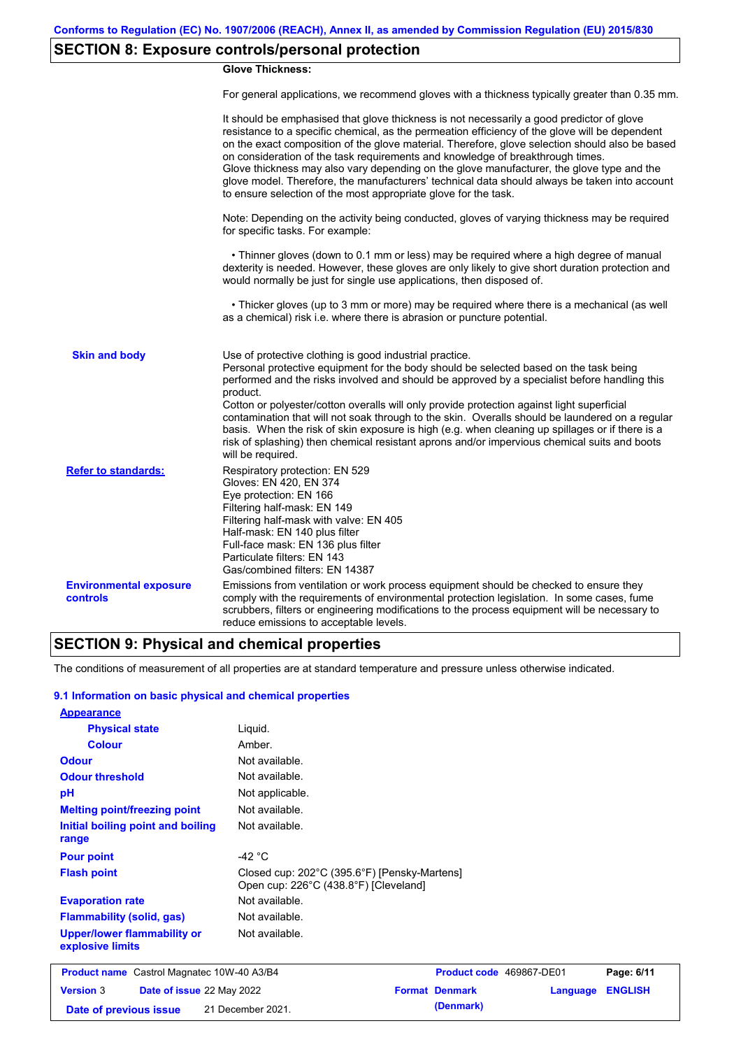# **SECTION 8: Exposure controls/personal protection**

### **Glove Thickness:**

For general applications, we recommend gloves with a thickness typically greater than 0.35 mm.

|                                           | It should be emphasised that glove thickness is not necessarily a good predictor of glove<br>resistance to a specific chemical, as the permeation efficiency of the glove will be dependent<br>on the exact composition of the glove material. Therefore, glove selection should also be based<br>on consideration of the task requirements and knowledge of breakthrough times.<br>Glove thickness may also vary depending on the glove manufacturer, the glove type and the<br>glove model. Therefore, the manufacturers' technical data should always be taken into account<br>to ensure selection of the most appropriate glove for the task.                                     |
|-------------------------------------------|---------------------------------------------------------------------------------------------------------------------------------------------------------------------------------------------------------------------------------------------------------------------------------------------------------------------------------------------------------------------------------------------------------------------------------------------------------------------------------------------------------------------------------------------------------------------------------------------------------------------------------------------------------------------------------------|
|                                           | Note: Depending on the activity being conducted, gloves of varying thickness may be required<br>for specific tasks. For example:                                                                                                                                                                                                                                                                                                                                                                                                                                                                                                                                                      |
|                                           | • Thinner gloves (down to 0.1 mm or less) may be required where a high degree of manual<br>dexterity is needed. However, these gloves are only likely to give short duration protection and<br>would normally be just for single use applications, then disposed of.                                                                                                                                                                                                                                                                                                                                                                                                                  |
|                                           | • Thicker gloves (up to 3 mm or more) may be required where there is a mechanical (as well<br>as a chemical) risk i.e. where there is abrasion or puncture potential.                                                                                                                                                                                                                                                                                                                                                                                                                                                                                                                 |
| <b>Skin and body</b>                      | Use of protective clothing is good industrial practice.<br>Personal protective equipment for the body should be selected based on the task being<br>performed and the risks involved and should be approved by a specialist before handling this<br>product.<br>Cotton or polyester/cotton overalls will only provide protection against light superficial<br>contamination that will not soak through to the skin. Overalls should be laundered on a regular<br>basis. When the risk of skin exposure is high (e.g. when cleaning up spillages or if there is a<br>risk of splashing) then chemical resistant aprons and/or impervious chemical suits and boots<br>will be required. |
| <b>Refer to standards:</b>                | Respiratory protection: EN 529<br>Gloves: EN 420, EN 374<br>Eye protection: EN 166<br>Filtering half-mask: EN 149<br>Filtering half-mask with valve: EN 405<br>Half-mask: EN 140 plus filter<br>Full-face mask: EN 136 plus filter<br>Particulate filters: EN 143<br>Gas/combined filters: EN 14387                                                                                                                                                                                                                                                                                                                                                                                   |
| <b>Environmental exposure</b><br>controls | Emissions from ventilation or work process equipment should be checked to ensure they<br>comply with the requirements of environmental protection legislation. In some cases, fume<br>scrubbers, filters or engineering modifications to the process equipment will be necessary to<br>reduce emissions to acceptable levels.                                                                                                                                                                                                                                                                                                                                                         |

## **SECTION 9: Physical and chemical properties**

The conditions of measurement of all properties are at standard temperature and pressure unless otherwise indicated.

#### **9.1 Information on basic physical and chemical properties**

| <b>Appearance</b>                                      |                                                                                       |                          |                 |                |
|--------------------------------------------------------|---------------------------------------------------------------------------------------|--------------------------|-----------------|----------------|
| <b>Physical state</b>                                  | Liquid.                                                                               |                          |                 |                |
| <b>Colour</b>                                          | Amber.                                                                                |                          |                 |                |
| <b>Odour</b>                                           | Not available.                                                                        |                          |                 |                |
| <b>Odour threshold</b>                                 | Not available.                                                                        |                          |                 |                |
| pH                                                     | Not applicable.                                                                       |                          |                 |                |
| <b>Melting point/freezing point</b>                    | Not available.                                                                        |                          |                 |                |
| Initial boiling point and boiling<br>range             | Not available.                                                                        |                          |                 |                |
| <b>Pour point</b>                                      | -42 $^{\circ}$ C                                                                      |                          |                 |                |
| <b>Flash point</b>                                     | Closed cup: 202°C (395.6°F) [Pensky-Martens]<br>Open cup: 226°C (438.8°F) [Cleveland] |                          |                 |                |
| <b>Evaporation rate</b>                                | Not available.                                                                        |                          |                 |                |
| <b>Flammability (solid, gas)</b>                       | Not available.                                                                        |                          |                 |                |
| <b>Upper/lower flammability or</b><br>explosive limits | Not available.                                                                        |                          |                 |                |
| <b>Product name</b> Castrol Magnatec 10W-40 A3/B4      |                                                                                       | Product code 469867-DE01 |                 | Page: 6/11     |
| <b>Version 3</b><br><b>Date of issue 22 May 2022</b>   |                                                                                       | <b>Format Denmark</b>    | <b>Language</b> | <b>ENGLISH</b> |
| Date of previous issue                                 | 21 December 2021.                                                                     | (Denmark)                |                 |                |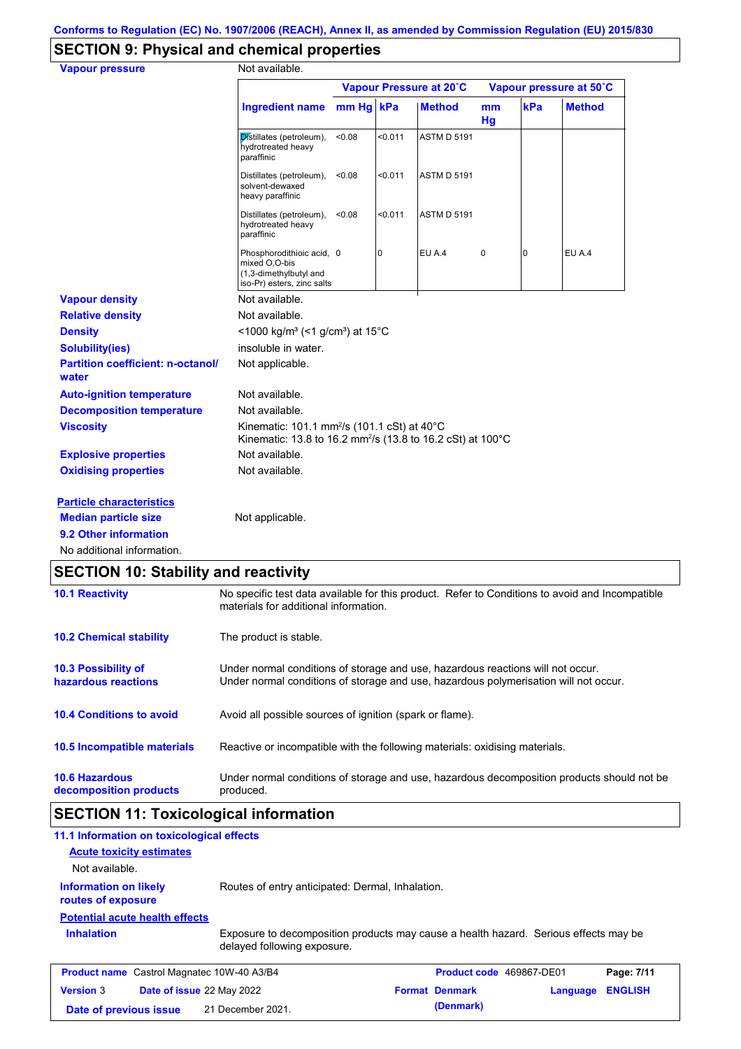# **SECTION 9: Physical and chemical properties**

| <b>Vapour pressure</b>                            | Not available.                                                                                                                               |        |         |                         |          |     |                         |
|---------------------------------------------------|----------------------------------------------------------------------------------------------------------------------------------------------|--------|---------|-------------------------|----------|-----|-------------------------|
|                                                   |                                                                                                                                              |        |         | Vapour Pressure at 20°C |          |     | Vapour pressure at 50°C |
|                                                   | <b>Ingredient name</b>                                                                                                                       | mm Hq  | kPa     | <b>Method</b>           | mm<br>Hg | kPa | <b>Method</b>           |
|                                                   | Distillates (petroleum),<br>hydrotreated heavy<br>paraffinic                                                                                 | < 0.08 | < 0.011 | <b>ASTM D 5191</b>      |          |     |                         |
|                                                   | Distillates (petroleum),<br>solvent-dewaxed<br>heavy paraffinic                                                                              | < 0.08 | < 0.011 | <b>ASTM D 5191</b>      |          |     |                         |
|                                                   | Distillates (petroleum),<br>hydrotreated heavy<br>paraffinic                                                                                 | < 0.08 | < 0.011 | <b>ASTM D 5191</b>      |          |     |                         |
|                                                   | Phosphorodithioic acid, 0<br>mixed O,O-bis<br>(1,3-dimethylbutyl and<br>iso-Pr) esters, zinc salts                                           |        | 0       | EU A.4                  | 0        | 0   | EU A.4                  |
| <b>Vapour density</b>                             | Not available.                                                                                                                               |        |         |                         |          |     |                         |
| <b>Relative density</b>                           | Not available.                                                                                                                               |        |         |                         |          |     |                         |
| <b>Density</b>                                    | <1000 kg/m <sup>3</sup> (<1 g/cm <sup>3</sup> ) at 15°C                                                                                      |        |         |                         |          |     |                         |
| <b>Solubility(ies)</b>                            | insoluble in water.                                                                                                                          |        |         |                         |          |     |                         |
| <b>Partition coefficient: n-octanol/</b><br>water | Not applicable.                                                                                                                              |        |         |                         |          |     |                         |
| <b>Auto-ignition temperature</b>                  | Not available.                                                                                                                               |        |         |                         |          |     |                         |
| <b>Decomposition temperature</b>                  | Not available.                                                                                                                               |        |         |                         |          |     |                         |
| <b>Viscosity</b>                                  | Kinematic: 101.1 mm <sup>2</sup> /s (101.1 cSt) at 40 $^{\circ}$ C<br>Kinematic: 13.8 to 16.2 mm <sup>2</sup> /s (13.8 to 16.2 cSt) at 100°C |        |         |                         |          |     |                         |
| <b>Explosive properties</b>                       | Not available.                                                                                                                               |        |         |                         |          |     |                         |
| <b>Oxidising properties</b>                       | Not available.                                                                                                                               |        |         |                         |          |     |                         |
| <b>Particle characteristics</b>                   |                                                                                                                                              |        |         |                         |          |     |                         |
| <b>Median particle size</b>                       | Not applicable.                                                                                                                              |        |         |                         |          |     |                         |
| 9.2 Other information                             |                                                                                                                                              |        |         |                         |          |     |                         |
| No additional information.                        |                                                                                                                                              |        |         |                         |          |     |                         |

## **SECTION 10: Stability and reactivity**

| <b>10.6 Hazardous</b><br>decomposition products   | Under normal conditions of storage and use, hazardous decomposition products should not be<br>produced.                                                                 |
|---------------------------------------------------|-------------------------------------------------------------------------------------------------------------------------------------------------------------------------|
| 10.5 Incompatible materials                       | Reactive or incompatible with the following materials: oxidising materials.                                                                                             |
| <b>10.4 Conditions to avoid</b>                   | Avoid all possible sources of ignition (spark or flame).                                                                                                                |
| <b>10.3 Possibility of</b><br>hazardous reactions | Under normal conditions of storage and use, hazardous reactions will not occur.<br>Under normal conditions of storage and use, hazardous polymerisation will not occur. |
| <b>10.2 Chemical stability</b>                    | The product is stable.                                                                                                                                                  |
| <b>10.1 Reactivity</b>                            | No specific test data available for this product. Refer to Conditions to avoid and Incompatible<br>materials for additional information.                                |

# **SECTION 11: Toxicological information**

| 11.1 Information on toxicological effects          |                                                                                                                     |                          |          |                |
|----------------------------------------------------|---------------------------------------------------------------------------------------------------------------------|--------------------------|----------|----------------|
| <b>Acute toxicity estimates</b>                    |                                                                                                                     |                          |          |                |
| Not available.                                     |                                                                                                                     |                          |          |                |
| <b>Information on likely</b><br>routes of exposure | Routes of entry anticipated: Dermal, Inhalation.                                                                    |                          |          |                |
| <b>Potential acute health effects</b>              |                                                                                                                     |                          |          |                |
| <b>Inhalation</b>                                  | Exposure to decomposition products may cause a health hazard. Serious effects may be<br>delayed following exposure. |                          |          |                |
| <b>Product name</b> Castrol Magnatec 10W-40 A3/B4  |                                                                                                                     | Product code 469867-DE01 |          | Page: 7/11     |
| <b>Version 3</b>                                   | Date of issue 22 May 2022                                                                                           | <b>Format Denmark</b>    | Language | <b>ENGLISH</b> |
| Date of previous issue                             | 21 December 2021.                                                                                                   | (Denmark)                |          |                |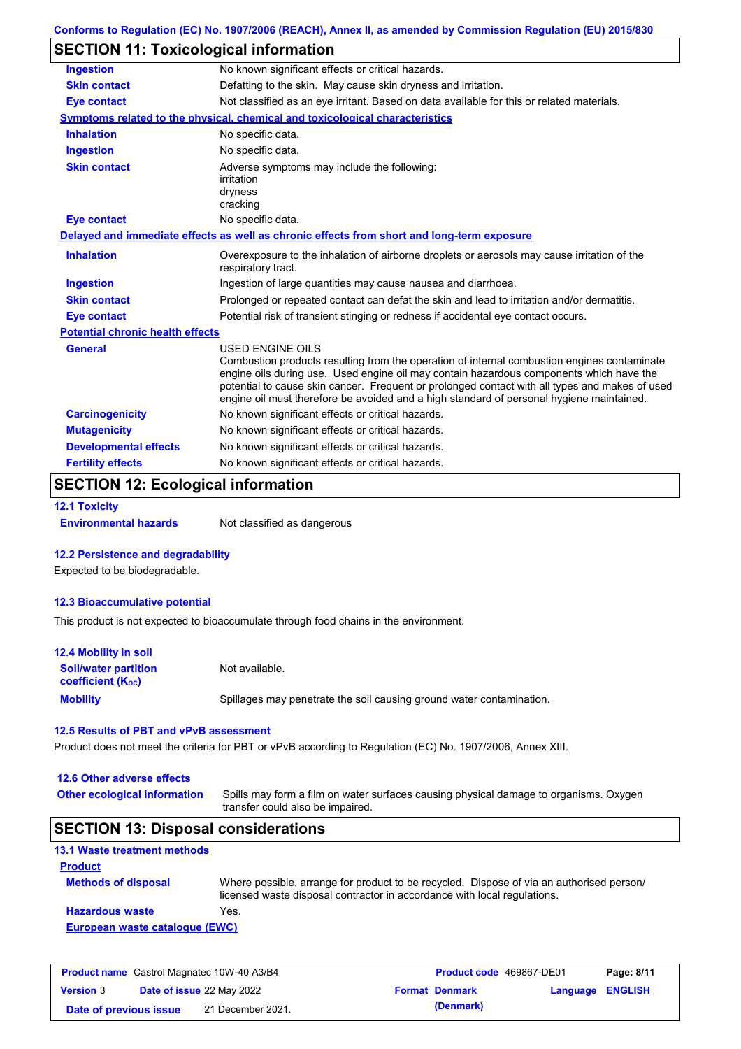| Conforms to Regulation (EC) No. 1907/2006 (REACH), Annex II, as amended by Commission Regulation (EU) 2015/830 |  |
|----------------------------------------------------------------------------------------------------------------|--|
|----------------------------------------------------------------------------------------------------------------|--|

## **SECTION 11: Toxicological information**

| <b>Ingestion</b>                        | No known significant effects or critical hazards.                                                                                                                                                                                                                                                                                                                                                               |
|-----------------------------------------|-----------------------------------------------------------------------------------------------------------------------------------------------------------------------------------------------------------------------------------------------------------------------------------------------------------------------------------------------------------------------------------------------------------------|
| <b>Skin contact</b>                     | Defatting to the skin. May cause skin dryness and irritation.                                                                                                                                                                                                                                                                                                                                                   |
| <b>Eye contact</b>                      | Not classified as an eye irritant. Based on data available for this or related materials.                                                                                                                                                                                                                                                                                                                       |
|                                         | Symptoms related to the physical, chemical and toxicological characteristics                                                                                                                                                                                                                                                                                                                                    |
| <b>Inhalation</b>                       | No specific data.                                                                                                                                                                                                                                                                                                                                                                                               |
| <b>Ingestion</b>                        | No specific data.                                                                                                                                                                                                                                                                                                                                                                                               |
| <b>Skin contact</b>                     | Adverse symptoms may include the following:<br>irritation<br>dryness<br>cracking                                                                                                                                                                                                                                                                                                                                |
| <b>Eye contact</b>                      | No specific data.                                                                                                                                                                                                                                                                                                                                                                                               |
|                                         | Delayed and immediate effects as well as chronic effects from short and long-term exposure                                                                                                                                                                                                                                                                                                                      |
| <b>Inhalation</b>                       | Overexposure to the inhalation of airborne droplets or aerosols may cause irritation of the<br>respiratory tract.                                                                                                                                                                                                                                                                                               |
| <b>Ingestion</b>                        | Ingestion of large quantities may cause nausea and diarrhoea.                                                                                                                                                                                                                                                                                                                                                   |
| <b>Skin contact</b>                     | Prolonged or repeated contact can defat the skin and lead to irritation and/or dermatitis.                                                                                                                                                                                                                                                                                                                      |
| <b>Eye contact</b>                      | Potential risk of transient stinging or redness if accidental eye contact occurs.                                                                                                                                                                                                                                                                                                                               |
| <b>Potential chronic health effects</b> |                                                                                                                                                                                                                                                                                                                                                                                                                 |
| <b>General</b>                          | <b>USED ENGINE OILS</b><br>Combustion products resulting from the operation of internal combustion engines contaminate<br>engine oils during use. Used engine oil may contain hazardous components which have the<br>potential to cause skin cancer. Frequent or prolonged contact with all types and makes of used<br>engine oil must therefore be avoided and a high standard of personal hygiene maintained. |
| <b>Carcinogenicity</b>                  | No known significant effects or critical hazards.                                                                                                                                                                                                                                                                                                                                                               |
| <b>Mutagenicity</b>                     | No known significant effects or critical hazards.                                                                                                                                                                                                                                                                                                                                                               |
| <b>Developmental effects</b>            | No known significant effects or critical hazards.                                                                                                                                                                                                                                                                                                                                                               |
| <b>Fertility effects</b>                | No known significant effects or critical hazards.                                                                                                                                                                                                                                                                                                                                                               |

## **SECTION 12: Ecological information**

#### **12.1 Toxicity**

**Environmental hazards** Not classified as dangerous

#### **12.2 Persistence and degradability**

Expected to be biodegradable.

#### **12.3 Bioaccumulative potential**

This product is not expected to bioaccumulate through food chains in the environment.

| <b>12.4 Mobility in soil</b>                                  |                                                                      |
|---------------------------------------------------------------|----------------------------------------------------------------------|
| <b>Soil/water partition</b><br>coefficient (K <sub>oc</sub> ) | Not available.                                                       |
| <b>Mobility</b>                                               | Spillages may penetrate the soil causing ground water contamination. |

### **12.5 Results of PBT and vPvB assessment**

Product does not meet the criteria for PBT or vPvB according to Regulation (EC) No. 1907/2006, Annex XIII.

### **12.6 Other adverse effects**

Spills may form a film on water surfaces causing physical damage to organisms. Oxygen transfer could also be impaired. **Other ecological information**

## **SECTION 13: Disposal considerations**

### **13.1 Waste treatment methods Product**

| <b>Methods of disposal</b>     | Where possible, arrange for product to be recycled. Dispose of via an authorised person/<br>licensed waste disposal contractor in accordance with local regulations. |
|--------------------------------|----------------------------------------------------------------------------------------------------------------------------------------------------------------------|
| <b>Hazardous waste</b>         | Yes.                                                                                                                                                                 |
| European waste catalogue (EWC) |                                                                                                                                                                      |

| <b>Product name</b> Castrol Magnatec 10W-40 A3/B4 |                                  | <b>Product code</b> 469867-DE01 |  | Page: 8/11            |                  |  |
|---------------------------------------------------|----------------------------------|---------------------------------|--|-----------------------|------------------|--|
| <b>Version 3</b>                                  | <b>Date of issue 22 May 2022</b> |                                 |  | <b>Format Denmark</b> | Language ENGLISH |  |
| Date of previous issue                            |                                  | 21 December 2021.               |  | (Denmark)             |                  |  |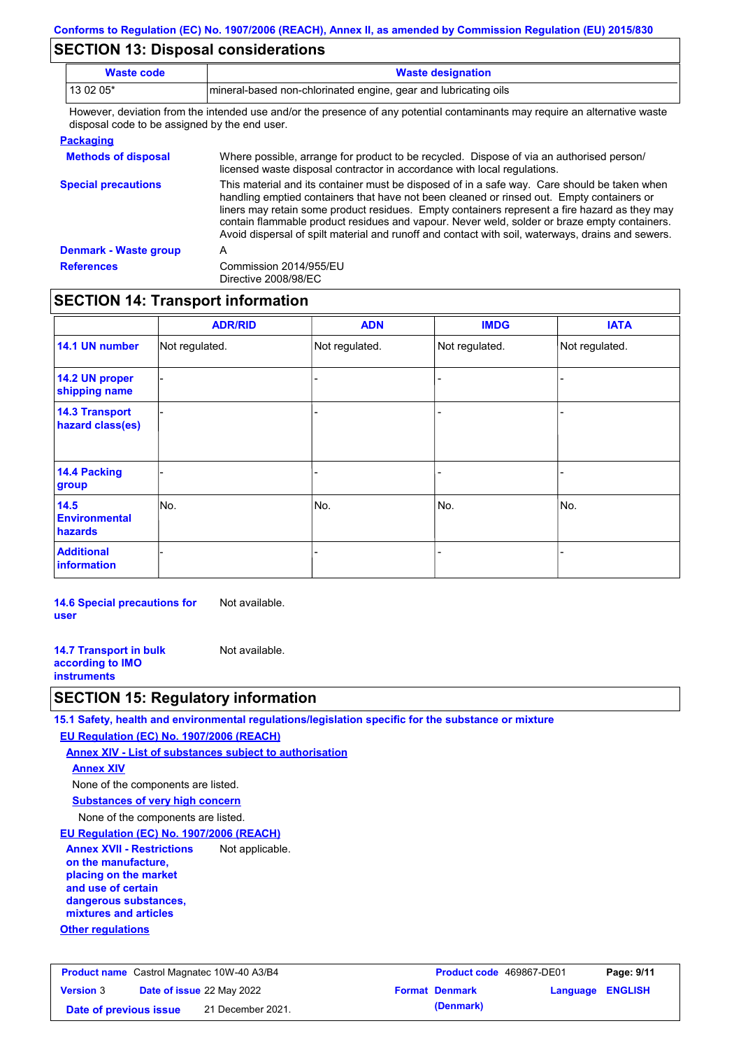## **SECTION 13: Disposal considerations**

| <b>Waste code</b>                             | <b>Waste designation</b>                                                                                                                                                                                                                                                                                                                                                                                                                                                                        |
|-----------------------------------------------|-------------------------------------------------------------------------------------------------------------------------------------------------------------------------------------------------------------------------------------------------------------------------------------------------------------------------------------------------------------------------------------------------------------------------------------------------------------------------------------------------|
| 13 02 05*                                     | mineral-based non-chlorinated engine, gear and lubricating oils                                                                                                                                                                                                                                                                                                                                                                                                                                 |
| disposal code to be assigned by the end user. | However, deviation from the intended use and/or the presence of any potential contaminants may require an alternative waste                                                                                                                                                                                                                                                                                                                                                                     |
| <b>Packaging</b>                              |                                                                                                                                                                                                                                                                                                                                                                                                                                                                                                 |
| <b>Methods of disposal</b>                    | Where possible, arrange for product to be recycled. Dispose of via an authorised person/<br>licensed waste disposal contractor in accordance with local regulations.                                                                                                                                                                                                                                                                                                                            |
| <b>Special precautions</b>                    | This material and its container must be disposed of in a safe way. Care should be taken when<br>handling emptied containers that have not been cleaned or rinsed out. Empty containers or<br>liners may retain some product residues. Empty containers represent a fire hazard as they may<br>contain flammable product residues and vapour. Never weld, solder or braze empty containers.<br>Avoid dispersal of spilt material and runoff and contact with soil, waterways, drains and sewers. |
| <b>Denmark - Waste group</b>                  | A                                                                                                                                                                                                                                                                                                                                                                                                                                                                                               |
| <b>References</b>                             | Commission 2014/955/EU<br>Directive 2008/98/EC                                                                                                                                                                                                                                                                                                                                                                                                                                                  |

## **SECTION 14: Transport information**

|                                           | <b>ADR/RID</b> | <b>ADN</b>     | <b>IMDG</b>    | <b>IATA</b>    |
|-------------------------------------------|----------------|----------------|----------------|----------------|
| 14.1 UN number                            | Not regulated. | Not regulated. | Not regulated. | Not regulated. |
| 14.2 UN proper<br>shipping name           |                |                | -              |                |
| <b>14.3 Transport</b><br>hazard class(es) |                |                | -              |                |
| 14.4 Packing<br>group                     |                |                | -              |                |
| 14.5<br><b>Environmental</b><br>hazards   | No.            | No.            | No.            | No.            |
| <b>Additional</b><br>information          |                |                |                |                |

**14.6 Special precautions for user** Not available.

**14.7 Transport in bulk according to IMO instruments** Not available.

### **SECTION 15: Regulatory information**

**15.1 Safety, health and environmental regulations/legislation specific for the substance or mixture EU Regulation (EC) No. 1907/2006 (REACH)**

**Annex XIV - List of substances subject to authorisation**

**Annex XIV**

None of the components are listed.

**Substances of very high concern**

None of the components are listed.

**EU Regulation (EC) No. 1907/2006 (REACH)**

**Other regulations Annex XVII - Restrictions on the manufacture, placing on the market and use of certain dangerous substances, mixtures and articles** Not applicable.

| <b>Product name</b> Castrol Magnatec 10W-40 A3/B4 |  | <b>Product code</b> 469867-DE01  |  | Page: 9/11            |                         |  |
|---------------------------------------------------|--|----------------------------------|--|-----------------------|-------------------------|--|
| <b>Version 3</b>                                  |  | <b>Date of issue 22 May 2022</b> |  | <b>Format Denmark</b> | <b>Language ENGLISH</b> |  |
| Date of previous issue                            |  | 21 December 2021.                |  | (Denmark)             |                         |  |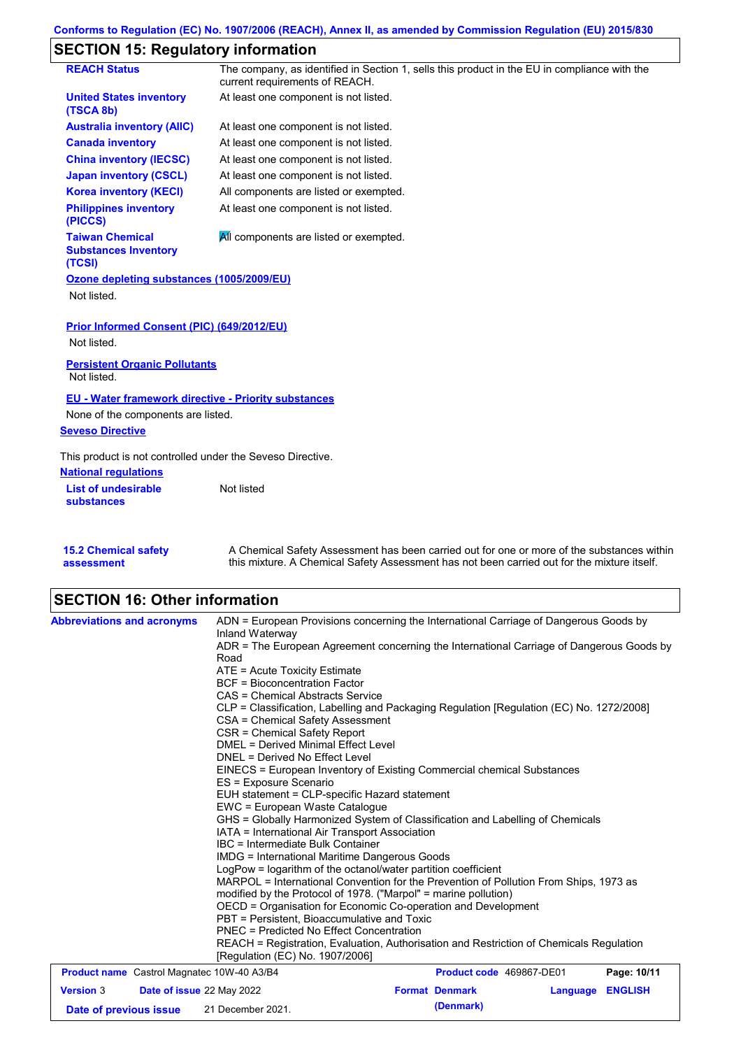# **SECTION 15: Regulatory information**

|                                                                 | The company, as identified in Section 1, sells this product in the EU in compliance with the |
|-----------------------------------------------------------------|----------------------------------------------------------------------------------------------|
| <b>REACH Status</b>                                             | current requirements of REACH.                                                               |
| <b>United States inventory</b><br>(TSCA 8b)                     | At least one component is not listed.                                                        |
| <b>Australia inventory (AIIC)</b>                               | At least one component is not listed.                                                        |
| <b>Canada inventory</b>                                         | At least one component is not listed.                                                        |
| <b>China inventory (IECSC)</b>                                  | At least one component is not listed.                                                        |
| <b>Japan inventory (CSCL)</b>                                   | At least one component is not listed.                                                        |
| <b>Korea inventory (KECI)</b>                                   | All components are listed or exempted.                                                       |
| <b>Philippines inventory</b><br>(PICCS)                         | At least one component is not listed.                                                        |
| <b>Taiwan Chemical</b><br><b>Substances Inventory</b><br>(TCSI) | All components are listed or exempted.                                                       |
| Ozone depleting substances (1005/2009/EU)                       |                                                                                              |
| Not listed.                                                     |                                                                                              |
| Prior Informed Consent (PIC) (649/2012/EU)                      |                                                                                              |
| Not listed.                                                     |                                                                                              |
| <b>Persistent Organic Pollutants</b><br>Not listed.             |                                                                                              |
| <b>EU - Water framework directive - Priority substances</b>     |                                                                                              |
| None of the components are listed.                              |                                                                                              |
| <b>Seveso Directive</b>                                         |                                                                                              |
| This product is not controlled under the Seveso Directive.      |                                                                                              |
| <b>National regulations</b>                                     |                                                                                              |
| <b>List of undesirable</b><br><b>substances</b>                 | Not listed                                                                                   |
|                                                                 |                                                                                              |

| <b>15.2 Chemical safety</b> | A Chemical Safety Assessment has been carried out for one or more of the substances within  |
|-----------------------------|---------------------------------------------------------------------------------------------|
| assessment                  | this mixture. A Chemical Safety Assessment has not been carried out for the mixture itself. |

# **SECTION 16: Other information**

| <b>Abbreviations and acronyms</b>                                       | ADN = European Provisions concerning the International Carriage of Dangerous Goods by<br>Inland Waterway<br>ADR = The European Agreement concerning the International Carriage of Dangerous Goods by<br>Road<br>ATE = Acute Toxicity Estimate<br><b>BCF</b> = Bioconcentration Factor<br>CAS = Chemical Abstracts Service<br>CLP = Classification, Labelling and Packaging Regulation [Regulation (EC) No. 1272/2008]<br>CSA = Chemical Safety Assessment<br>CSR = Chemical Safety Report<br><b>DMEL = Derived Minimal Effect Level</b><br>DNEL = Derived No Effect Level<br>EINECS = European Inventory of Existing Commercial chemical Substances<br>ES = Exposure Scenario<br>EUH statement = CLP-specific Hazard statement<br>EWC = European Waste Catalogue<br>GHS = Globally Harmonized System of Classification and Labelling of Chemicals<br>IATA = International Air Transport Association<br>IBC = Intermediate Bulk Container<br><b>IMDG</b> = International Maritime Dangerous Goods<br>LogPow = logarithm of the octanol/water partition coefficient<br>MARPOL = International Convention for the Prevention of Pollution From Ships, 1973 as<br>modified by the Protocol of 1978. ("Marpol" = marine pollution)<br>OECD = Organisation for Economic Co-operation and Development<br>PBT = Persistent, Bioaccumulative and Toxic<br><b>PNEC</b> = Predicted No Effect Concentration<br>REACH = Registration, Evaluation, Authorisation and Restriction of Chemicals Regulation |                                    |          |                |
|-------------------------------------------------------------------------|---------------------------------------------------------------------------------------------------------------------------------------------------------------------------------------------------------------------------------------------------------------------------------------------------------------------------------------------------------------------------------------------------------------------------------------------------------------------------------------------------------------------------------------------------------------------------------------------------------------------------------------------------------------------------------------------------------------------------------------------------------------------------------------------------------------------------------------------------------------------------------------------------------------------------------------------------------------------------------------------------------------------------------------------------------------------------------------------------------------------------------------------------------------------------------------------------------------------------------------------------------------------------------------------------------------------------------------------------------------------------------------------------------------------------------------------------------------------------------------------|------------------------------------|----------|----------------|
|                                                                         | [Regulation (EC) No. 1907/2006]                                                                                                                                                                                                                                                                                                                                                                                                                                                                                                                                                                                                                                                                                                                                                                                                                                                                                                                                                                                                                                                                                                                                                                                                                                                                                                                                                                                                                                                             |                                    |          |                |
| <b>Product name</b> Castrol Magnatec 10W-40 A3/B4                       |                                                                                                                                                                                                                                                                                                                                                                                                                                                                                                                                                                                                                                                                                                                                                                                                                                                                                                                                                                                                                                                                                                                                                                                                                                                                                                                                                                                                                                                                                             | Product code 469867-DE01           |          | Page: 10/11    |
| <b>Version 3</b><br>Date of issue 22 May 2022<br>Date of previous issue | 21 December 2021.                                                                                                                                                                                                                                                                                                                                                                                                                                                                                                                                                                                                                                                                                                                                                                                                                                                                                                                                                                                                                                                                                                                                                                                                                                                                                                                                                                                                                                                                           | <b>Format Denmark</b><br>(Denmark) | Language | <b>ENGLISH</b> |